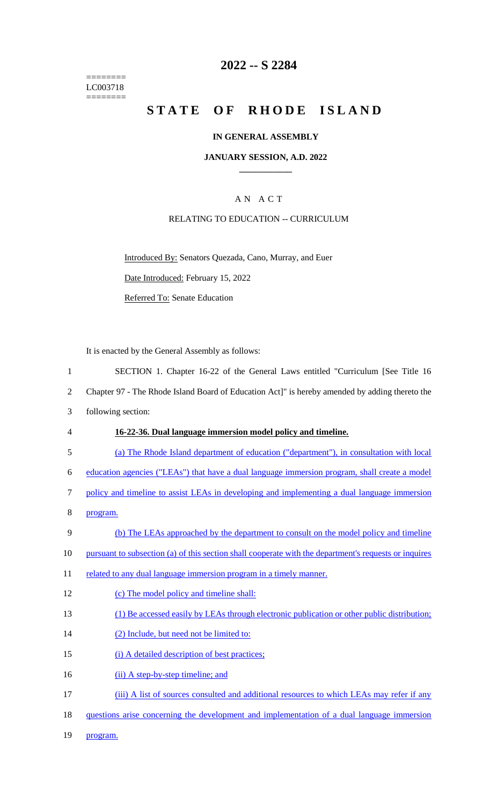======== LC003718  $=$ 

# **2022 -- S 2284**

# STATE OF RHODE ISLAND

## **IN GENERAL ASSEMBLY**

### **JANUARY SESSION, A.D. 2022 \_\_\_\_\_\_\_\_\_\_\_\_**

# A N A C T

## RELATING TO EDUCATION -- CURRICULUM

Introduced By: Senators Quezada, Cano, Murray, and Euer Date Introduced: February 15, 2022 Referred To: Senate Education

It is enacted by the General Assembly as follows:

| $\mathbf{1}$     | SECTION 1. Chapter 16-22 of the General Laws entitled "Curriculum [See Title 16                       |
|------------------|-------------------------------------------------------------------------------------------------------|
| $\overline{2}$   | Chapter 97 - The Rhode Island Board of Education Act]" is hereby amended by adding thereto the        |
| 3                | following section:                                                                                    |
| $\overline{4}$   | 16-22-36. Dual language immersion model policy and timeline.                                          |
| 5                | (a) The Rhode Island department of education ("department"), in consultation with local               |
| 6                | education agencies ("LEAs") that have a dual language immersion program, shall create a model         |
| $\boldsymbol{7}$ | policy and timeline to assist LEAs in developing and implementing a dual language immersion           |
| $8\,$            | program.                                                                                              |
| $\mathbf{9}$     | (b) The LEAs approached by the department to consult on the model policy and timeline                 |
| 10               | pursuant to subsection (a) of this section shall cooperate with the department's requests or inquires |
| 11               | related to any dual language immersion program in a timely manner.                                    |
| 12               | (c) The model policy and timeline shall:                                                              |
| 13               | (1) Be accessed easily by LEAs through electronic publication or other public distribution;           |
| 14               | (2) Include, but need not be limited to:                                                              |
| 15               | (i) A detailed description of best practices;                                                         |
| 16               | (ii) A step-by-step timeline; and                                                                     |
| 17               | (iii) A list of sources consulted and additional resources to which LEAs may refer if any             |
| 18               | questions arise concerning the development and implementation of a dual language immersion            |
| 19               | program.                                                                                              |
|                  |                                                                                                       |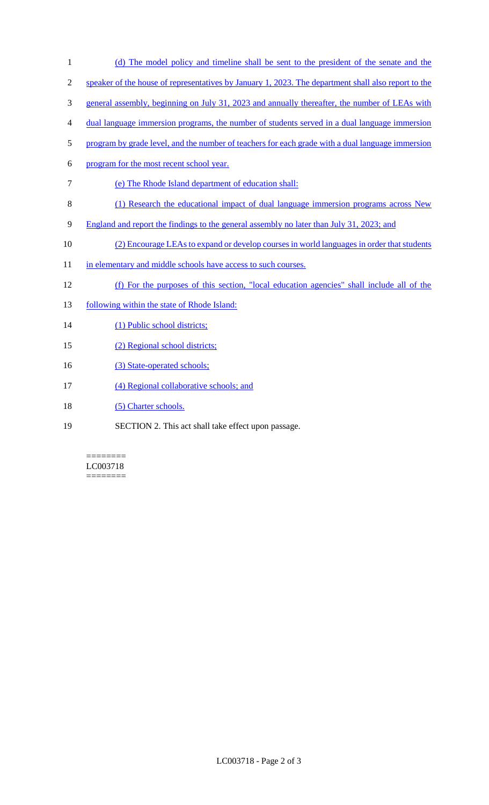2 speaker of the house of representatives by January 1, 2023. The department shall also report to the 3 general assembly, beginning on July 31, 2023 and annually thereafter, the number of LEAs with 4 dual language immersion programs, the number of students served in a dual language immersion 5 program by grade level, and the number of teachers for each grade with a dual language immersion 6 program for the most recent school year. 7 (e) The Rhode Island department of education shall: 8 (1) Research the educational impact of dual language immersion programs across New 9 England and report the findings to the general assembly no later than July 31, 2023; and 10 (2) Encourage LEAs to expand or develop courses in world languages in order that students 11 in elementary and middle schools have access to such courses. 12 (f) For the purposes of this section, "local education agencies" shall include all of the 13 following within the state of Rhode Island: 14 (1) Public school districts; 15 (2) Regional school districts; 16 (3) State-operated schools; 17 (4) Regional collaborative schools; and 18 (5) Charter schools. 19 SECTION 2. This act shall take effect upon passage.

1 (d) The model policy and timeline shall be sent to the president of the senate and the

======== LC003718 ========